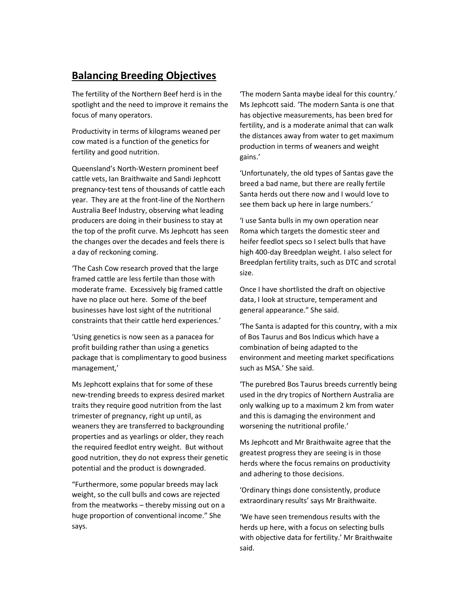## Balancing Breeding Objectives

The fertility of the Northern Beef herd is in the spotlight and the need to improve it remains the focus of many operators.

Productivity in terms of kilograms weaned per cow mated is a function of the genetics for fertility and good nutrition.

Queensland's North-Western prominent beef cattle vets, Ian Braithwaite and Sandi Jephcott pregnancy-test tens of thousands of cattle each year. They are at the front-line of the Northern Australia Beef Industry, observing what leading producers are doing in their business to stay at the top of the profit curve. Ms Jephcott has seen the changes over the decades and feels there is a day of reckoning coming.

'The Cash Cow research proved that the large framed cattle are less fertile than those with moderate frame. Excessively big framed cattle have no place out here. Some of the beef businesses have lost sight of the nutritional constraints that their cattle herd experiences.'

'Using genetics is now seen as a panacea for profit building rather than using a genetics package that is complimentary to good business management,'

Ms Jephcott explains that for some of these new-trending breeds to express desired market traits they require good nutrition from the last trimester of pregnancy, right up until, as weaners they are transferred to backgrounding properties and as yearlings or older, they reach the required feedlot entry weight. But without good nutrition, they do not express their genetic potential and the product is downgraded.

"Furthermore, some popular breeds may lack weight, so the cull bulls and cows are rejected from the meatworks – thereby missing out on a huge proportion of conventional income." She says.

'The modern Santa maybe ideal for this country.' Ms Jephcott said. 'The modern Santa is one that has objective measurements, has been bred for fertility, and is a moderate animal that can walk the distances away from water to get maximum production in terms of weaners and weight gains.'

'Unfortunately, the old types of Santas gave the breed a bad name, but there are really fertile Santa herds out there now and I would love to see them back up here in large numbers.'

'I use Santa bulls in my own operation near Roma which targets the domestic steer and heifer feedlot specs so I select bulls that have high 400-day Breedplan weight. I also select for Breedplan fertility traits, such as DTC and scrotal size.

Once I have shortlisted the draft on objective data, I look at structure, temperament and general appearance." She said.

'The Santa is adapted for this country, with a mix of Bos Taurus and Bos Indicus which have a combination of being adapted to the environment and meeting market specifications such as MSA.' She said.

'The purebred Bos Taurus breeds currently being used in the dry tropics of Northern Australia are only walking up to a maximum 2 km from water and this is damaging the environment and worsening the nutritional profile.'

Ms Jephcott and Mr Braithwaite agree that the greatest progress they are seeing is in those herds where the focus remains on productivity and adhering to those decisions.

'Ordinary things done consistently, produce extraordinary results' says Mr Braithwaite.

'We have seen tremendous results with the herds up here, with a focus on selecting bulls with objective data for fertility.' Mr Braithwaite said.